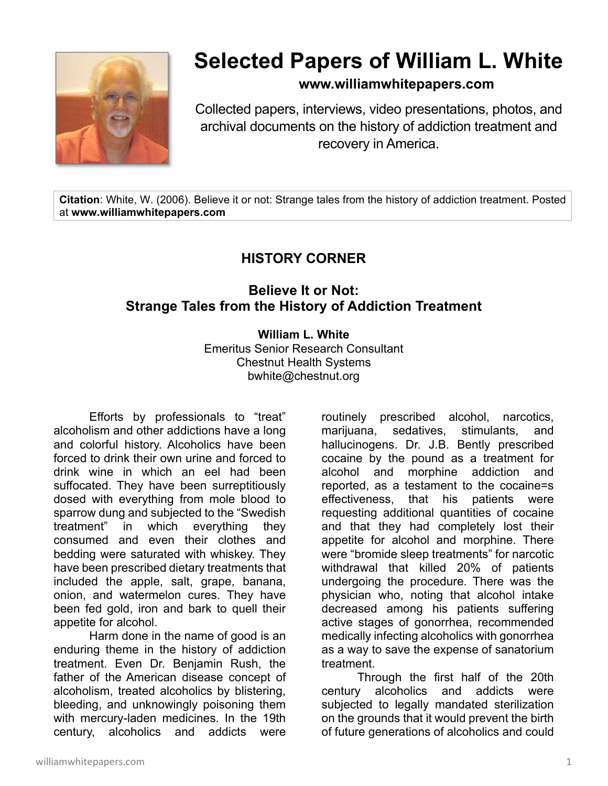

## **Selected Papers of William L. White**

**www.williamwhitepapers.com**

Collected papers, interviews, video presentations, photos, and archival documents on the history of addiction treatment and recovery in America.

**Citation**: White, W. (2006). Believe it or not: Strange tales from the history of addiction treatment. Posted at **www.williamwhitepapers.com** 

## **HISTORY CORNER**

## **Believe It or Not: Strange Tales from the History of Addiction Treatment**

## **William L. White**

Emeritus Senior Research Consultant Chestnut Health Systems bwhite@chestnut.org

Efforts by professionals to "treat" alcoholism and other addictions have a long and colorful history. Alcoholics have been forced to drink their own urine and forced to drink wine in which an eel had been suffocated. They have been surreptitiously dosed with everything from mole blood to sparrow dung and subjected to the "Swedish treatment" in which everything they consumed and even their clothes and bedding were saturated with whiskey. They have been prescribed dietary treatments that included the apple, salt, grape, banana, onion, and watermelon cures. They have been fed gold, iron and bark to quell their appetite for alcohol.

Harm done in the name of good is an enduring theme in the history of addiction treatment. Even Dr. Benjamin Rush, the father of the American disease concept of alcoholism, treated alcoholics by blistering, bleeding, and unknowingly poisoning them with mercury-laden medicines. In the 19th century, alcoholics and addicts were

routinely prescribed alcohol, narcotics, marijuana, sedatives, stimulants, and hallucinogens. Dr. J.B. Bently prescribed cocaine by the pound as a treatment for alcohol and morphine addiction and reported, as a testament to the cocaine=s effectiveness, that his patients were requesting additional quantities of cocaine and that they had completely lost their appetite for alcohol and morphine. There were "bromide sleep treatments" for narcotic withdrawal that killed 20% of patients undergoing the procedure. There was the physician who, noting that alcohol intake decreased among his patients suffering active stages of gonorrhea, recommended medically infecting alcoholics with gonorrhea as a way to save the expense of sanatorium treatment.

Through the first half of the 20th century alcoholics and addicts were subjected to legally mandated sterilization on the grounds that it would prevent the birth of future generations of alcoholics and could